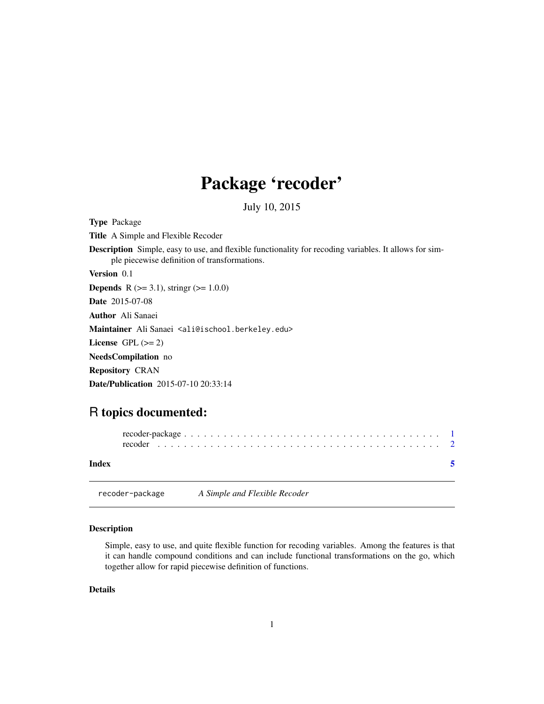# Package 'recoder'

July 10, 2015

<span id="page-0-1"></span><span id="page-0-0"></span>Type Package Title A Simple and Flexible Recoder Description Simple, easy to use, and flexible functionality for recoding variables. It allows for simple piecewise definition of transformations. Version 0.1 **Depends** R ( $>= 3.1$ ), stringr ( $>= 1.0.0$ ) Date 2015-07-08 Author Ali Sanaei Maintainer Ali Sanaei <ali@ischool.berkeley.edu> License GPL  $(>= 2)$ NeedsCompilation no Repository CRAN Date/Publication 2015-07-10 20:33:14

# R topics documented:

recoder-package *A Simple and Flexible Recoder*

| Index |  |
|-------|--|

#### Description

Simple, easy to use, and quite flexible function for recoding variables. Among the features is that it can handle compound conditions and can include functional transformations on the go, which together allow for rapid piecewise definition of functions.

#### Details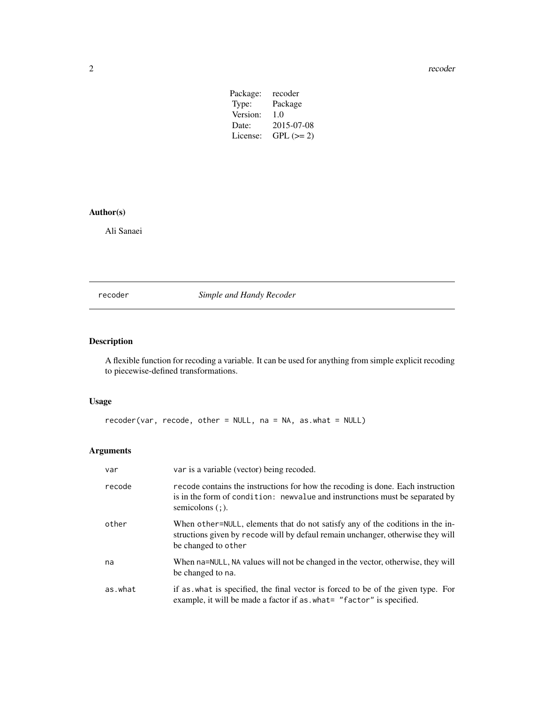<span id="page-1-0"></span>2 a contract to the contract of the contract of the contract of the contract of the contract of the contract of the contract of the contract of the contract of the contract of the contract of the contract of the contract o

| recoder    |
|------------|
| Package    |
| 1.0        |
| 2015-07-08 |
| $GPL (=2)$ |
|            |

# Author(s)

Ali Sanaei

recoder *Simple and Handy Recoder*

# Description

A flexible function for recoding a variable. It can be used for anything from simple explicit recoding to piecewise-defined transformations.

# Usage

```
recoder(var, recode, other = NULL, na = NA, as.what = NULL)
```
# Arguments

| var     | var is a variable (vector) being recoded.                                                                                                                                                 |
|---------|-------------------------------------------------------------------------------------------------------------------------------------------------------------------------------------------|
| recode  | recode contains the instructions for how the recoding is done. Each instruction<br>is in the form of condition: new value and instrunctions must be separated by<br>semicolons $($ ; $).$ |
| other   | When other=NULL, elements that do not satisfy any of the coditions in the in-<br>structions given by recode will by defaul remain unchanger, otherwise they will<br>be changed to other   |
| na      | When na=NULL, NA values will not be changed in the vector, otherwise, they will<br>be changed to na.                                                                                      |
| as.what | if as what is specified, the final vector is forced to be of the given type. For<br>example, it will be made a factor if as what= "factor" is specified.                                  |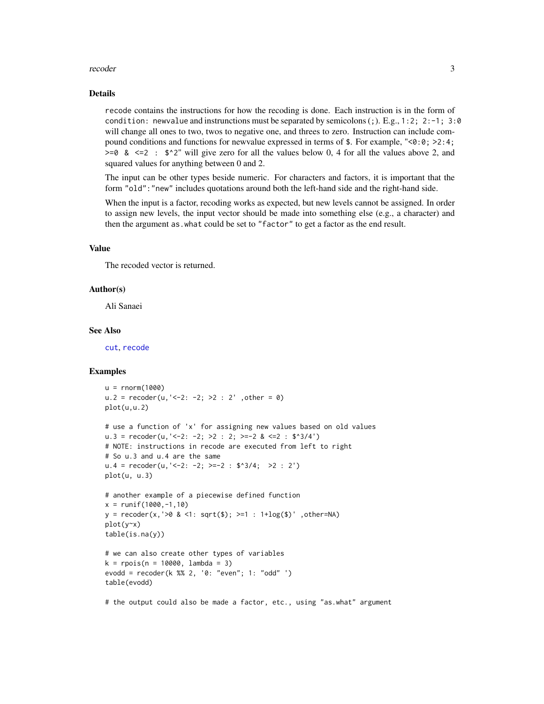#### <span id="page-2-0"></span>recoder 3

#### Details

recode contains the instructions for how the recoding is done. Each instruction is in the form of condition: newvalue and instrunctions must be separated by semicolons  $($ ;  $)$ . E.g.,  $1:2$ ;  $2:-1$ ;  $3:0$ will change all ones to two, twos to negative one, and threes to zero. Instruction can include compound conditions and functions for newvalue expressed in terms of  $\epsilon$ . For example, "<0:0; >2:4;  $>= 0$  &  $<= 2$  :  $\frac{6}{2}$ " will give zero for all the values below 0, 4 for all the values above 2, and squared values for anything between 0 and 2.

The input can be other types beside numeric. For characters and factors, it is important that the form "old":"new" includes quotations around both the left-hand side and the right-hand side.

When the input is a factor, recoding works as expected, but new levels cannot be assigned. In order to assign new levels, the input vector should be made into something else (e.g., a character) and then the argument as.what could be set to "factor" to get a factor as the end result.

#### Value

The recoded vector is returned.

#### Author(s)

Ali Sanaei

#### See Also

[cut](#page-0-1), [recode](#page-0-1)

#### Examples

```
u = rnorm(1000)
u.2 = recoder(u, '<-2: -2; >2: 2', other = 0)
plot(u,u.2)
# use a function of 'x' for assigning new values based on old values
u.3 = recoder(u, '<-2; -2; >2 : 2; >=-2 &lt; -2 : $^*3/4')# NOTE: instructions in recode are executed from left to right
# So u.3 and u.4 are the same
u.4 = recoder(u, '<-2: -2; >=-2: $^{*}3/4; >2: 2')plot(u, u.3)
# another example of a piecewise defined function
x = runif(1000, -1, 10)y = recoder(x,'>0 & <1: sqrt($); >=1 : 1+log($)' ,other=NA)
plot(y~x)
table(is.na(y))
# we can also create other types of variables
k = \text{rpois}(n = 10000, \text{lambda} = 3)evodd = recoder(k %% 2, '0: "even"; 1: "odd" ')
table(evodd)
```
# the output could also be made a factor, etc., using "as.what" argument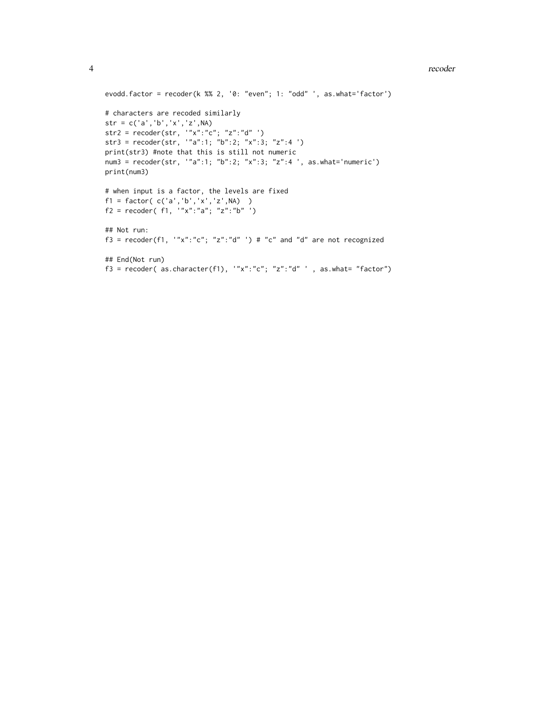#### 4 and 2 recoder that the set of the set of the set of the set of the set of the set of the set of the set of the set of the set of the set of the set of the set of the set of the set of the set of the set of the set of the

```
evodd.factor = recoder(k %% 2, '0: "even"; 1: "odd" ', as.what='factor')
# characters are recoded similarly
str = c('a','b','x','z',NA)
str2 = recoder(str, '"x":"c"; "z":"d" ')
str3 = recoder(str, '"a":1; "b":2; "x":3; "z":4 ')
print(str3) #note that this is still not numeric
num3 = recoder(str, '"a":1; "b":2; "x":3; "z":4 ', as.what='numeric')
print(num3)
# when input is a factor, the levels are fixed
f1 = factor( c('a','b','x','z',NA) )
f2 = recoder(f1, '''x": "a"; 'z": "b" ')## Not run:
f3 = recoder(f1, '''x": "c"; "z": "d" ') # "c" and "d" are not recognized## End(Not run)
f3 = recoder( as. character(f1), '''x": "c"; 'z": "d" ', as. what = 'factor")
```